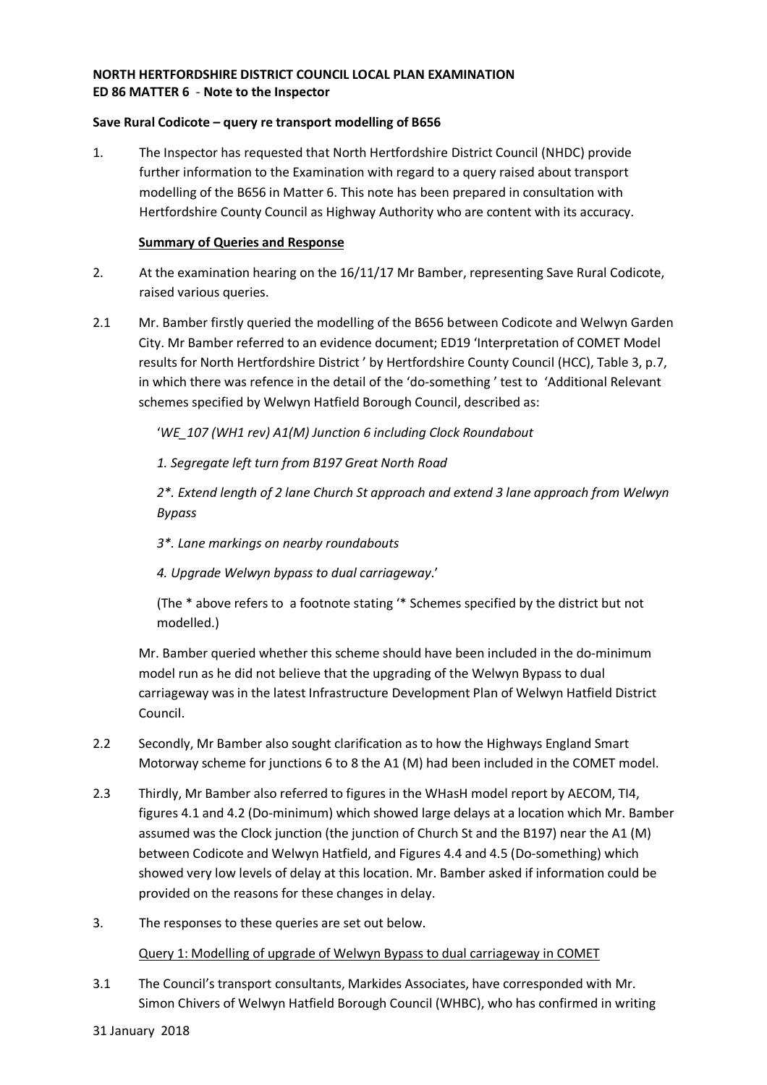#### **NORTH HERTFORDSHIRE DISTRICT COUNCIL LOCAL PLAN EXAMINATION ED 86 MATTER 6** - **Note to the Inspector**

#### **Save Rural Codicote – query re transport modelling of B656**

1. The Inspector has requested that North Hertfordshire District Council (NHDC) provide further information to the Examination with regard to a query raised about transport modelling of the B656 in Matter 6. This note has been prepared in consultation with Hertfordshire County Council as Highway Authority who are content with its accuracy.

#### **Summary of Queries and Response**

- 2. At the examination hearing on the 16/11/17 Mr Bamber, representing Save Rural Codicote, raised various queries.
- 2.1 Mr. Bamber firstly queried the modelling of the B656 between Codicote and Welwyn Garden City. Mr Bamber referred to an evidence document; ED19 'Interpretation of COMET Model results for North Hertfordshire District ' by Hertfordshire County Council (HCC), Table 3, p.7, in which there was refence in the detail of the 'do-something ' test to 'Additional Relevant schemes specified by Welwyn Hatfield Borough Council, described as:

'*WE\_107 (WH1 rev) A1(M) Junction 6 including Clock Roundabout* 

 *1. Segregate left turn from B197 Great North Road* 

 *2\*. Extend length of 2 lane Church St approach and extend 3 lane approach from Welwyn Bypass* 

- *3\*. Lane markings on nearby roundabouts*
- *4. Upgrade Welwyn bypass to dual carriageway*.'

 (The \* above refers to a footnote stating '\* Schemes specified by the district but not modelled.)

 Mr. Bamber queried whether this scheme should have been included in the do-minimum model run as he did not believe that the upgrading of the Welwyn Bypass to dual carriageway was in the latest Infrastructure Development Plan of Welwyn Hatfield District Council.

- 2.2 Secondly, Mr Bamber also sought clarification as to how the Highways England Smart Motorway scheme for junctions 6 to 8 the A1 (M) had been included in the COMET model.
- 2.3 Thirdly, Mr Bamber also referred to figures in the WHasH model report by AECOM, TI4, figures 4.1 and 4.2 (Do-minimum) which showed large delays at a location which Mr. Bamber assumed was the Clock junction (the junction of Church St and the B197) near the A1 (M) between Codicote and Welwyn Hatfield, and Figures 4.4 and 4.5 (Do-something) which showed very low levels of delay at this location. Mr. Bamber asked if information could be provided on the reasons for these changes in delay.
- 3. The responses to these queries are set out below.

#### Query 1: Modelling of upgrade of Welwyn Bypass to dual carriageway in COMET

- 3.1 The Council's transport consultants, Markides Associates, have corresponded with Mr. Simon Chivers of Welwyn Hatfield Borough Council (WHBC), who has confirmed in writing
- 31 January 2018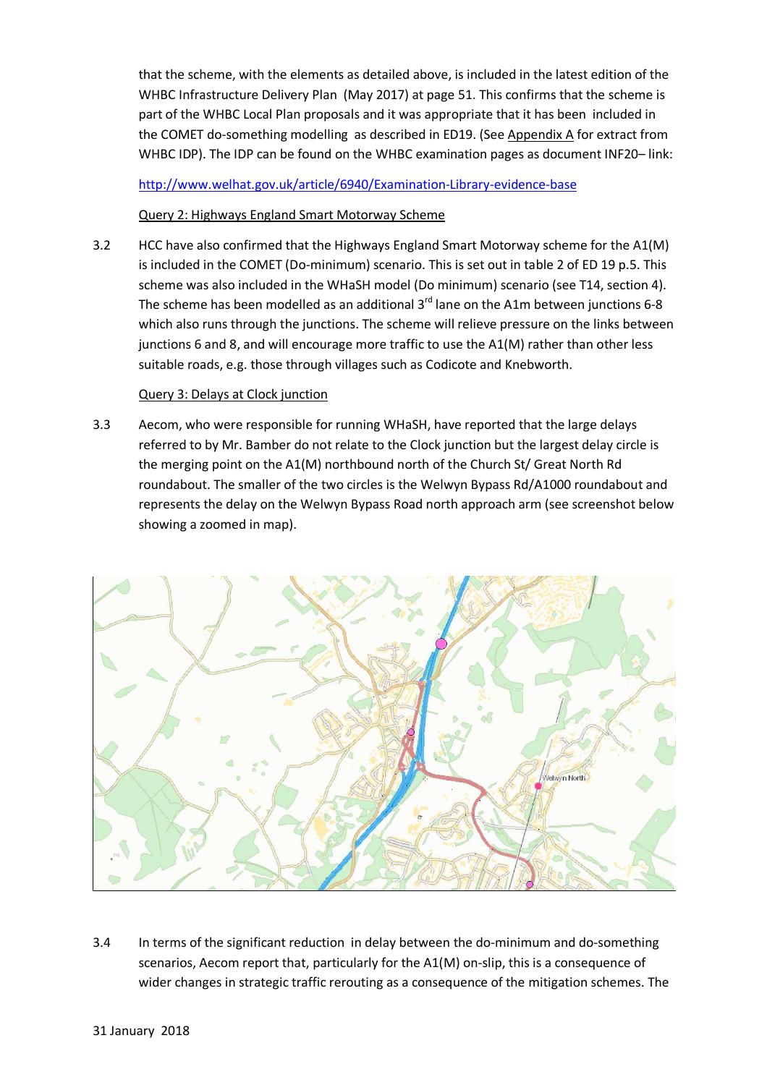that the scheme, with the elements as detailed above, is included in the latest edition of the WHBC Infrastructure Delivery Plan (May 2017) at page 51. This confirms that the scheme is part of the WHBC Local Plan proposals and it was appropriate that it has been included in the COMET do-something modelling as described in ED19. (See Appendix A for extract from WHBC IDP). The IDP can be found on the WHBC examination pages as document INF20- link:

http://www.welhat.gov.uk/article/6940/Examination-Library-evidence-base

#### Query 2: Highways England Smart Motorway Scheme

3.2 HCC have also confirmed that the Highways England Smart Motorway scheme for the A1(M) is included in the COMET (Do-minimum) scenario. This is set out in table 2 of ED 19 p.5. This scheme was also included in the WHaSH model (Do minimum) scenario (see T14, section 4). The scheme has been modelled as an additional  $3<sup>rd</sup>$  lane on the A1m between junctions 6-8 which also runs through the junctions. The scheme will relieve pressure on the links between junctions 6 and 8, and will encourage more traffic to use the A1(M) rather than other less suitable roads, e.g. those through villages such as Codicote and Knebworth.

#### Query 3: Delays at Clock junction

3.3 Aecom, who were responsible for running WHaSH, have reported that the large delays referred to by Mr. Bamber do not relate to the Clock junction but the largest delay circle is the merging point on the A1(M) northbound north of the Church St/ Great North Rd roundabout. The smaller of the two circles is the Welwyn Bypass Rd/A1000 roundabout and represents the delay on the Welwyn Bypass Road north approach arm (see screenshot below showing a zoomed in map).



3.4 In terms of the significant reduction in delay between the do-minimum and do-something scenarios, Aecom report that, particularly for the A1(M) on-slip, this is a consequence of wider changes in strategic traffic rerouting as a consequence of the mitigation schemes. The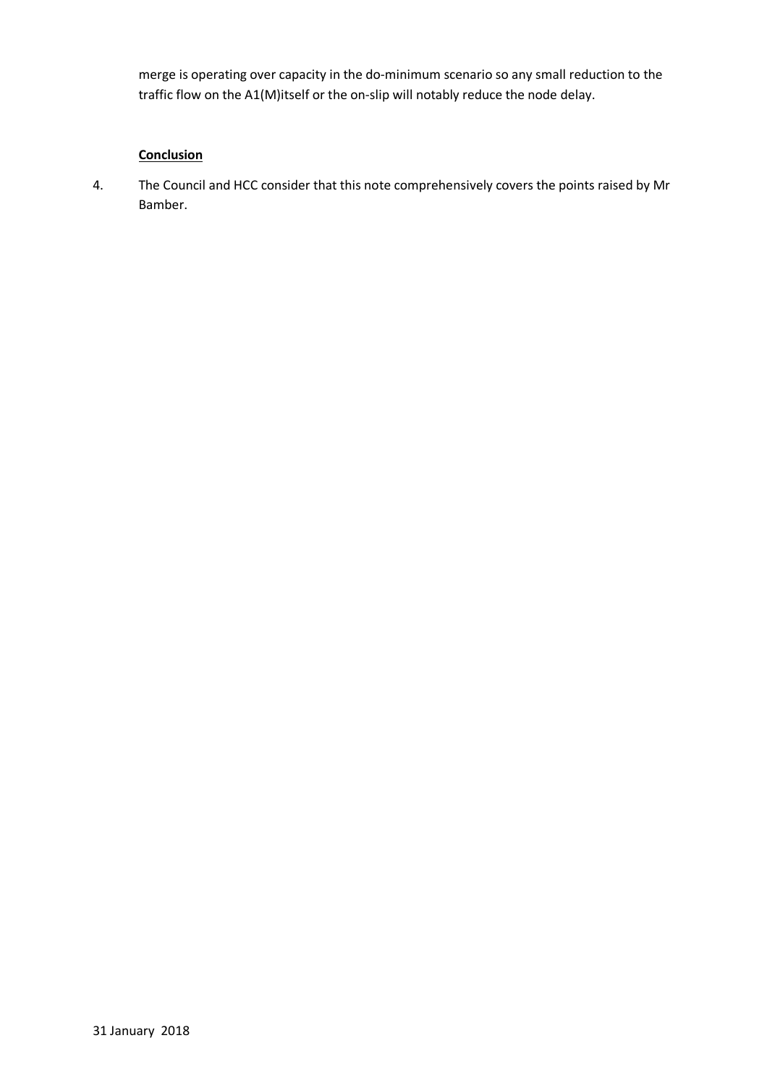merge is operating over capacity in the do-minimum scenario so any small reduction to the traffic flow on the A1(M)itself or the on-slip will notably reduce the node delay.

### **Conclusion**

4. The Council and HCC consider that this note comprehensively covers the points raised by Mr Bamber.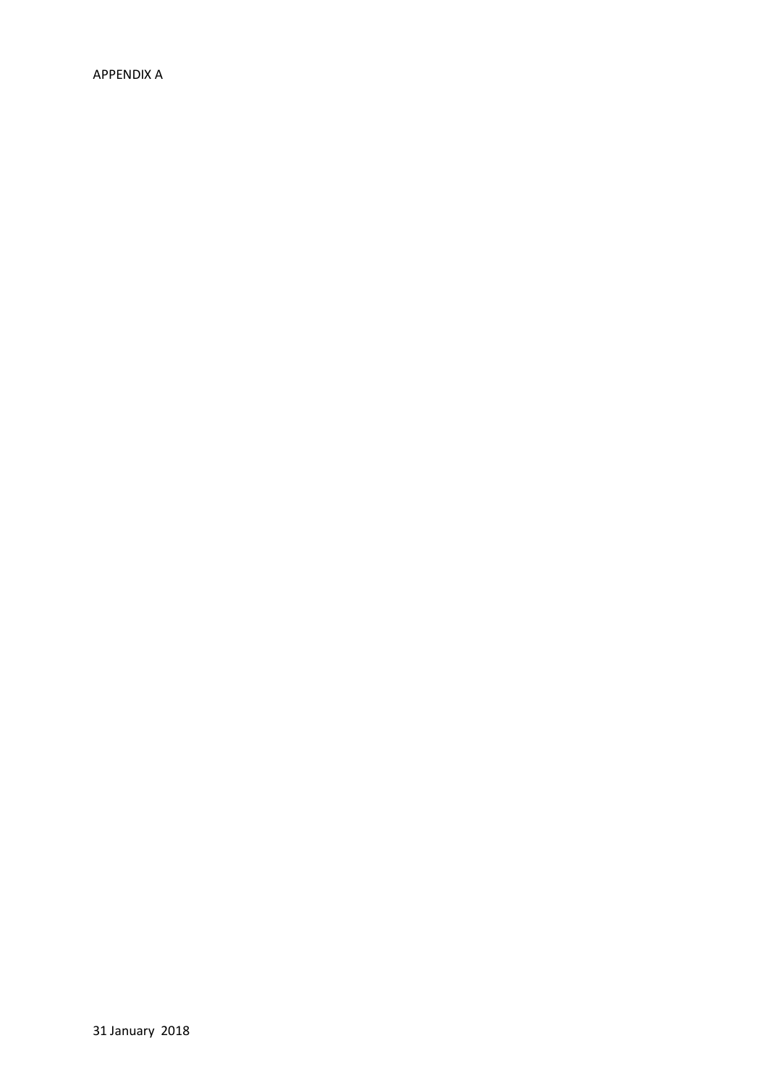APPENDIX A